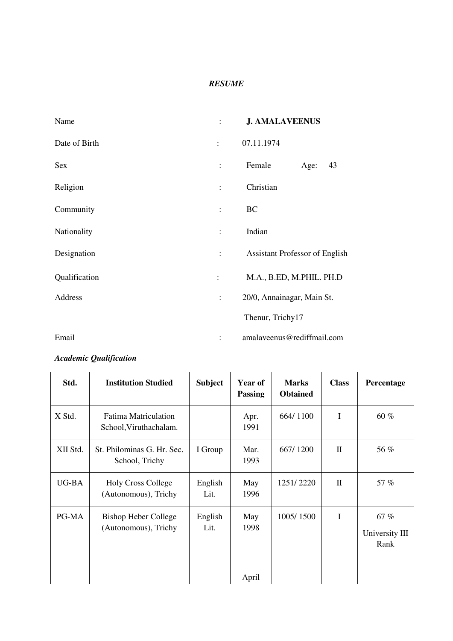#### *RESUME*

| Name          |                      | <b>J. AMALAVEENUS</b>                 |  |  |
|---------------|----------------------|---------------------------------------|--|--|
| Date of Birth | $\ddot{\phantom{a}}$ | 07.11.1974                            |  |  |
| Sex           | $\ddot{\cdot}$       | Female<br>43<br>Age:                  |  |  |
| Religion      | $\ddot{\cdot}$       | Christian                             |  |  |
| Community     | $\ddot{\cdot}$       | BC                                    |  |  |
| Nationality   | $\ddot{\cdot}$       | Indian                                |  |  |
| Designation   | $\ddot{\cdot}$       | <b>Assistant Professor of English</b> |  |  |
| Qualification | $\ddot{\cdot}$       | M.A., B.ED, M.PHIL. PH.D              |  |  |
| Address       | $\vdots$             | 20/0, Annainagar, Main St.            |  |  |
|               |                      | Thenur, Trichy17                      |  |  |
| Email         |                      | amalaveenus@rediffmail.com            |  |  |

## *Academic Qualification*

| Std.     | <b>Institution Studied</b>                            | <b>Subject</b>  | <b>Year of</b><br><b>Passing</b> | <b>Marks</b><br><b>Obtained</b> | <b>Class</b> | Percentage                    |
|----------|-------------------------------------------------------|-----------------|----------------------------------|---------------------------------|--------------|-------------------------------|
| X Std.   | <b>Fatima Matriculation</b><br>School, Viruthachalam. |                 | Apr.<br>1991                     | 664/1100                        | I            | 60 %                          |
| XII Std. | St. Philominas G. Hr. Sec.<br>School, Trichy          | I Group         | Mar.<br>1993                     | 667/1200                        | $\Pi$        | 56 %                          |
| UG-BA    | <b>Holy Cross College</b><br>(Autonomous), Trichy     | English<br>Lit. | May<br>1996                      | 1251/2220                       | $\Pi$        | 57 %                          |
| PG-MA    | <b>Bishop Heber College</b><br>(Autonomous), Trichy   | English<br>Lit. | May<br>1998<br>April             | 1005/1500                       | I            | 67%<br>University III<br>Rank |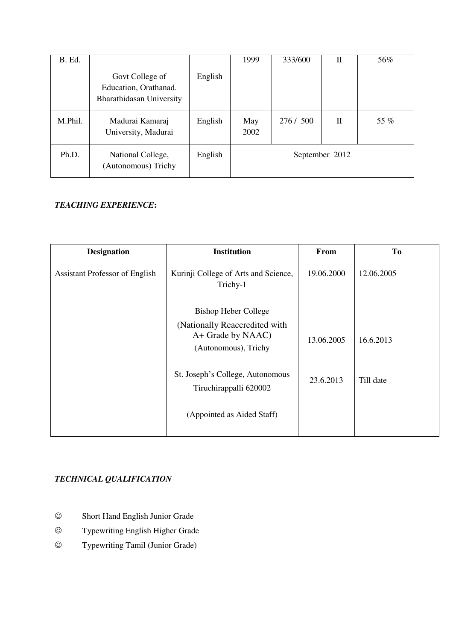| B. Ed.  |                                                                      |         | 1999        | 333/600   | П              | 56%  |
|---------|----------------------------------------------------------------------|---------|-------------|-----------|----------------|------|
|         | Govt College of<br>Education, Orathanad.<br>Bharathidasan University | English |             |           |                |      |
| M.Phil. | Madurai Kamaraj<br>University, Madurai                               | English | May<br>2002 | 276 / 500 | $\mathbf{I}$   | 55 % |
| Ph.D.   | National College,<br>(Autonomous) Trichy                             | English |             |           | September 2012 |      |

### *TEACHING EXPERIENCE***:**

| <b>Designation</b>                    | <b>Institution</b>                                                         | From       | To         |
|---------------------------------------|----------------------------------------------------------------------------|------------|------------|
| <b>Assistant Professor of English</b> | Kurinji College of Arts and Science,<br>Trichy-1                           | 19.06.2000 | 12.06.2005 |
|                                       | <b>Bishop Heber College</b>                                                |            |            |
|                                       | (Nationally Reaccredited with<br>A+ Grade by NAAC)<br>(Autonomous), Trichy | 13.06.2005 | 16.6.2013  |
|                                       | St. Joseph's College, Autonomous<br>Tiruchirappalli 620002                 | 23.6.2013  | Till date  |
|                                       | (Appointed as Aided Staff)                                                 |            |            |

### *TECHNICAL QUALIFICATION*

- Short Hand English Junior Grade
- Typewriting English Higher Grade
- Typewriting Tamil (Junior Grade)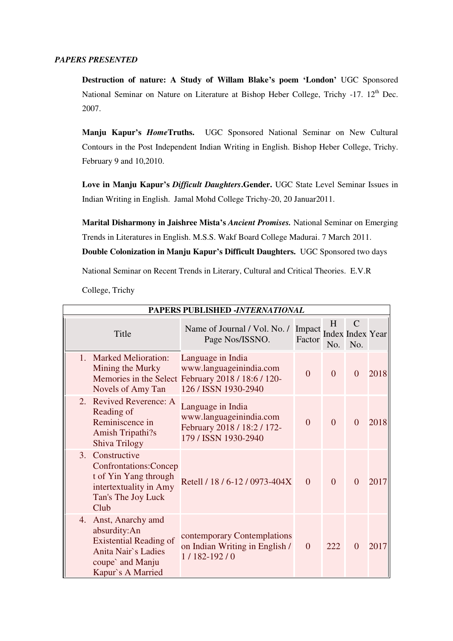#### *PAPERS PRESENTED*

**Destruction of nature: A Study of Willam Blake's poem 'London'** UGC Sponsored National Seminar on Nature on Literature at Bishop Heber College, Trichy -17. 12<sup>th</sup> Dec. 2007.

**Manju Kapur's** *Home***Truths.** UGC Sponsored National Seminar on New Cultural Contours in the Post Independent Indian Writing in English. Bishop Heber College, Trichy. February 9 and 10,2010.

**Love in Manju Kapur's** *Difficult Daughters***.Gender.** UGC State Level Seminar Issues in Indian Writing in English. Jamal Mohd College Trichy-20, 20 Januar2011.

**Marital Disharmony in Jaishree Mista's** *Ancient Promises.* National Seminar on Emerging Trends in Literatures in English. M.S.S. Wakf Board College Madurai. 7 March 2011. **Double Colonization in Manju Kapur's Difficult Daughters.** UGC Sponsored two days

National Seminar on Recent Trends in Literary, Cultural and Critical Theories. E.V.R

College, Trichy

| PAPERS PUBLISHED -INTERNATIONAL                                                                                                       |                                                                                                                            |                  |          |                                                 |      |
|---------------------------------------------------------------------------------------------------------------------------------------|----------------------------------------------------------------------------------------------------------------------------|------------------|----------|-------------------------------------------------|------|
| Title                                                                                                                                 | Name of Journal / Vol. No. /<br>Page Nos/ISSNO.                                                                            | Impact<br>Factor | H<br>No. | $\mathcal{C}$<br><b>Index Index Year</b><br>No. |      |
| 1 <sup>1</sup><br><b>Marked Melioration:</b><br>Mining the Murky<br>Novels of Amy Tan                                                 | Language in India<br>www.languageinindia.com<br>Memories in the Select February 2018 / 18:6 / 120-<br>126 / ISSN 1930-2940 | $\overline{0}$   | $\Omega$ | $\Omega$                                        | 2018 |
| <b>Revived Reverence: A</b><br>2.<br>Reading of<br>Reminiscence in<br><b>Amish Tripathi?s</b><br>Shiva Trilogy                        | Language in India<br>www.languageinindia.com<br>February 2018 / 18:2 / 172-<br>179 / ISSN 1930-2940                        | $\theta$         | $\Omega$ | $\Omega$                                        | 2018 |
| Constructive<br>3.<br>Confrontations: Concep<br>t of Yin Yang through<br>intertextuality in Amy<br>Tan's The Joy Luck<br>Club         | Retell / 18 / 6-12 / 0973-404X                                                                                             | $\Omega$         | $\Omega$ | $\Omega$                                        | 2017 |
| 4. Anst, Anarchy amd<br>absurdity:An<br><b>Existential Reading of</b><br>Anita Nair's Ladies<br>coupe' and Manju<br>Kapur's A Married | contemporary Contemplations<br>on Indian Writing in English /<br>$1/182 - 192/0$                                           | $\overline{0}$   | 222      | $\Omega$                                        | 2017 |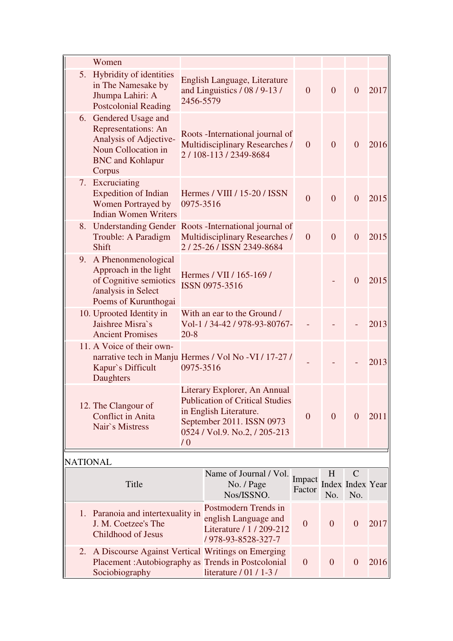|                 | Women                                                                                                                                     |                                                                                                                                                                              |                                                                                              |                  |                |                                         |      |
|-----------------|-------------------------------------------------------------------------------------------------------------------------------------------|------------------------------------------------------------------------------------------------------------------------------------------------------------------------------|----------------------------------------------------------------------------------------------|------------------|----------------|-----------------------------------------|------|
|                 | 5. Hybridity of identities<br>in The Namesake by<br>Jhumpa Lahiri: A<br><b>Postcolonial Reading</b>                                       | English Language, Literature<br>and Linguistics / 08 / 9-13 /<br>2456-5579                                                                                                   |                                                                                              | $\mathbf{0}$     | $\overline{0}$ | $\overline{0}$                          | 2017 |
|                 | 6. Gendered Usage and<br><b>Representations: An</b><br>Analysis of Adjective-<br>Noun Collocation in<br><b>BNC</b> and Kohlapur<br>Corpus | Roots - International journal of<br>Multidisciplinary Researches /<br>2/108-113/2349-8684                                                                                    |                                                                                              | $\overline{0}$   | $\overline{0}$ | $\overline{0}$                          | 2016 |
|                 | 7. Excruciating<br><b>Expedition of Indian</b><br>Women Portrayed by<br><b>Indian Women Writers</b>                                       | 0975-3516                                                                                                                                                                    | Hermes / VIII / 15-20 / ISSN                                                                 | $\overline{0}$   | $\overline{0}$ | $\overline{0}$                          | 2015 |
| 8.              | <b>Understanding Gender</b><br>Trouble: A Paradigm<br><b>Shift</b>                                                                        |                                                                                                                                                                              | Roots - International journal of<br>Multidisciplinary Researches /<br>2/25-26/ISSN 2349-8684 | $\overline{0}$   | $\Omega$       | $\overline{0}$                          | 2015 |
| 9.              | A Phenonmenological<br>Approach in the light<br>of Cognitive semiotics<br>/analysis in Select<br>Poems of Kurunthogai                     | Hermes / VII / 165-169 /<br>ISSN 0975-3516                                                                                                                                   |                                                                                              |                  |                | $\overline{0}$                          | 2015 |
|                 | 10. Uprooted Identity in<br>Jaishree Misra's<br><b>Ancient Promises</b>                                                                   | With an ear to the Ground /<br>Vol-1 / 34-42 / 978-93-80767-<br>$20 - 8$                                                                                                     |                                                                                              |                  |                |                                         | 2013 |
|                 | 11. A Voice of their own-<br>Kapur's Difficult<br>Daughters                                                                               | narrative tech in Manju Hermes / Vol No -VI / 17-27 /<br>0975-3516                                                                                                           |                                                                                              |                  |                |                                         | 2013 |
|                 | 12. The Clangour of<br><b>Conflict in Anita</b><br>Nair's Mistress                                                                        | Literary Explorer, An Annual<br><b>Publication of Critical Studies</b><br>in English Literature.<br>September 2011. ISSN 0973<br>0524 / Vol.9. No.2, / 205-213<br>$\sqrt{0}$ |                                                                                              | $\overline{0}$   | $\overline{0}$ | $\overline{0}$                          | 2011 |
| <b>NATIONAL</b> |                                                                                                                                           |                                                                                                                                                                              |                                                                                              |                  |                |                                         |      |
|                 | Title                                                                                                                                     | Name of Journal / Vol.<br>No. / Page<br>Nos/ISSNO.                                                                                                                           |                                                                                              | Impact<br>Factor | H<br>No.       | $\mathsf{C}$<br>Index Index Year<br>No. |      |
|                 | 1. Paranoia and intertexuality in<br>J. M. Coetzee's The<br>Childhood of Jesus                                                            | Postmodern Trends in<br>english Language and<br>Literature / 1 / 209-212<br>/ 978-93-8528-327-7                                                                              |                                                                                              | $\overline{0}$   | $\overline{0}$ | $\overline{0}$                          | 2017 |
| 2.              | A Discourse Against Vertical Writings on Emerging<br>Placement: Autobiography as Trends in Postcolonial<br>Sociobiography                 |                                                                                                                                                                              | literature / 01 / 1-3 /                                                                      | $\overline{0}$   | $\overline{0}$ | $\overline{0}$                          | 2016 |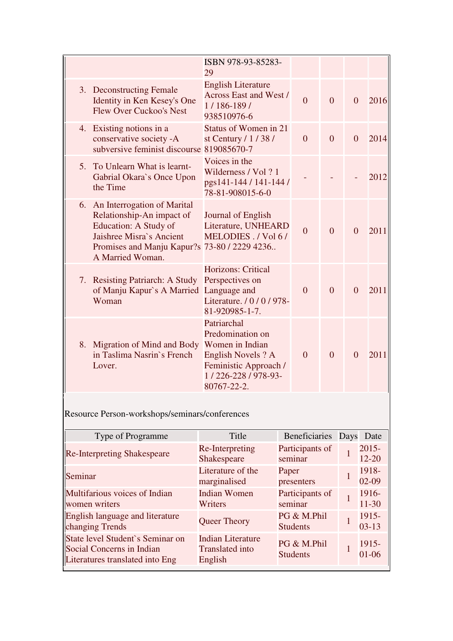|    |                                                                                                                                                                                   | ISBN 978-93-85283-<br>29                                                                                                              |                |                |          |      |
|----|-----------------------------------------------------------------------------------------------------------------------------------------------------------------------------------|---------------------------------------------------------------------------------------------------------------------------------------|----------------|----------------|----------|------|
|    | 3. Deconstructing Female<br>Identity in Ken Kesey's One<br><b>Flew Over Cuckoo's Nest</b>                                                                                         | <b>English Literature</b><br><b>Across East and West /</b><br>$1/186-189/$<br>938510976-6                                             | $\overline{0}$ | $\overline{0}$ | $\Omega$ | 2016 |
| 4. | Existing notions in a<br>conservative society -A<br>subversive feminist discourse 819085670-7                                                                                     | Status of Women in 21<br>st Century $/ 1 / 38 / 1$                                                                                    | $\overline{0}$ | $\theta$       | $\theta$ | 2014 |
|    | 5. To Unlearn What is learnt-<br>Gabrial Okara's Once Upon<br>the Time                                                                                                            | Voices in the<br>Wilderness / Vol ? 1<br>pgs141-144 / 141-144 /<br>78-81-908015-6-0                                                   |                |                |          | 2012 |
| 6. | An Interrogation of Marital<br>Relationship-An impact of<br>Education: A Study of<br>Jaishree Misra's Ancient<br>Promises and Manju Kapur?s 73-80 / 2229 4236<br>A Married Woman. | Journal of English<br>Literature, UNHEARD<br>MELODIES. / Vol 6/                                                                       | $\Omega$       | $\overline{0}$ | $\Omega$ | 2011 |
|    | 7. Resisting Patriarch: A Study<br>of Manju Kapur's A Married Language and<br>Woman                                                                                               | <b>Horizons: Critical</b><br>Perspectives on<br>Literature. / 0 / 0 / 978-<br>81-920985-1-7.                                          | $\overline{0}$ | $\theta$       | $\theta$ | 2011 |
|    | 8. Migration of Mind and Body<br>in Taslima Nasrin's French<br>Lover.                                                                                                             | Patriarchal<br>Predomination on<br>Women in Indian<br>English Novels ? A<br>Feministic Approach /<br>1/226-228/978-93-<br>80767-22-2. | $\theta$       | $\overline{0}$ | $\Omega$ | 2011 |

Resource Person-workshops/seminars/conferences

| Type of Programme                                                                                | Title                                                         | Beneficiaries                  | Days Date             |
|--------------------------------------------------------------------------------------------------|---------------------------------------------------------------|--------------------------------|-----------------------|
| <b>Re-Interpreting Shakespeare</b>                                                               | Re-Interpreting<br>Shakespeare                                | Participants of<br>seminar     | $2015 -$<br>$12 - 20$ |
| Seminar                                                                                          | Literature of the<br>marginalised                             | Paper<br>presenters            | 1918-<br>$02-09$      |
| Multifarious voices of Indian<br>women writers                                                   | <b>Indian Women</b><br>Writers                                | Participants of<br>seminar     | 1916-<br>$11 - 30$    |
| English language and literature<br>changing Trends                                               | Queer Theory                                                  | PG & M.Phil<br><b>Students</b> | 1915-<br>$03 - 13$    |
| State level Student's Seminar on<br>Social Concerns in Indian<br>Literatures translated into Eng | <b>Indian Literature</b><br><b>Translated</b> into<br>English | PG & M.Phil<br><b>Students</b> | $1915 -$<br>$01 - 06$ |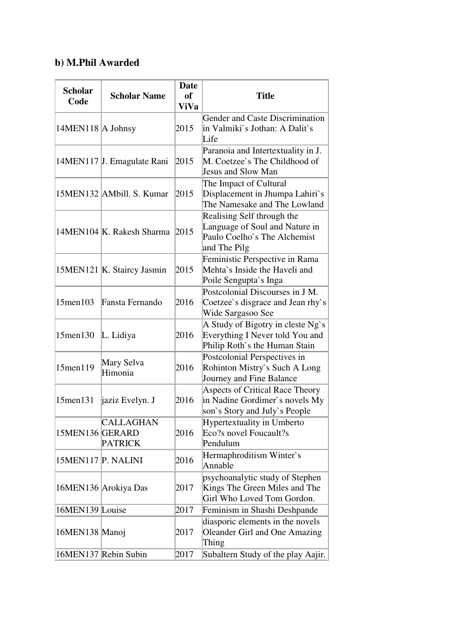# **b) M.Phil Awarded**

| <b>Scholar</b>     | <b>Scholar Name</b>         | <b>Date</b><br><b>of</b> | <b>Title</b>                                                                                                 |
|--------------------|-----------------------------|--------------------------|--------------------------------------------------------------------------------------------------------------|
| Code               |                             | <b>ViVa</b>              |                                                                                                              |
| 14MEN118 A Johnsy  |                             | 2015                     | Gender and Caste Discrimination<br>in Valmiki`s Jothan: A Dalit`s<br>Life                                    |
|                    | 14MEN117 J. Emagulate Rani  | 2015                     | Paranoia and Intertextuality in J.<br>M. Coetzee's The Childhood of<br>Jesus and Slow Man                    |
|                    | 15MEN132 AMbill. S. Kumar   | 2015                     | The Impact of Cultural<br>Displacement in Jhumpa Lahiri`s<br>The Namesake and The Lowland                    |
|                    | 14MEN104 K. Rakesh Sharma   | 2015                     | Realising Self through the<br>Language of Soul and Nature in<br>Paulo Coelho's The Alchemist<br>and The Pilg |
|                    | 15MEN121 K. Staircy Jasmin  | 2015                     | Feministic Perspective in Rama<br>Mehta's Inside the Haveli and<br>Poile Sengupta's Inga                     |
| 15men103           | Fansta Fernando             | 2016                     | Postcolonial Discourses in J M.<br>Coetzee's disgrace and Jean rhy's<br>Wide Sargasoo See                    |
| 15men130           | L. Lidiya                   | 2016                     | A Study of Bigotry in cleste Ng`s<br>Everything I Never told You and<br>Philip Roth's the Human Stain        |
| 15men119           | Mary Selva<br>Himonia       | 2016                     | Postcolonial Perspectives in<br>Rohinton Mistry's Such A Long<br>Journey and Fine Balance                    |
| 15men131           | jaziz Evelyn. J             | 2016                     | <b>Aspects of Critical Race Theory</b><br>in Nadine Gordimer's novels My<br>son's Story and July's People    |
| 15MEN136 GERARD    | CALLAGHAN<br><b>PATRICK</b> | 2016                     | Hypertextuality in Umberto<br>Eco?s novel Foucault?s<br>Pendulum                                             |
| 15MEN117 P. NALINI |                             | 2016                     | Hermaphroditism Winter's<br>Annable                                                                          |
|                    | 16MEN136 Arokiya Das        | 2017                     | psychoanalytic study of Stephen<br>Kings The Green Miles and The<br>Girl Who Loved Tom Gordon.               |
| 16MEN139 Louise    |                             | 2017                     | Feminism in Shashi Deshpande                                                                                 |
| 16MEN138 Manoj     |                             | 2017                     | diasporic elements in the novels<br>Oleander Girl and One Amazing<br>Thing                                   |
|                    | 16MEN137 Rebin Subin        | 2017                     | Subaltern Study of the play Aajir.                                                                           |